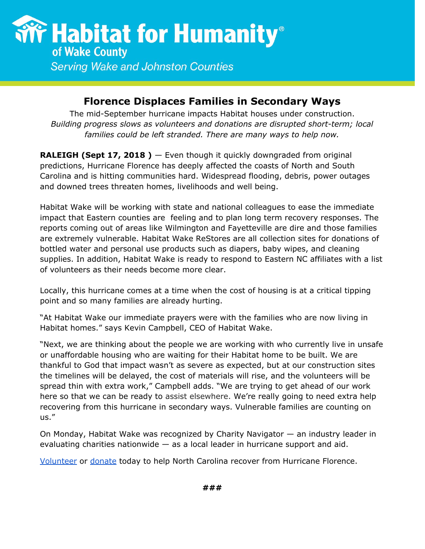

**Serving Wake and Johnston Counties** 

## **Florence Displaces Families in Secondary Ways**

The mid-September hurricane impacts Habitat houses under construction. *Building progress slows as volunteers and donations are disrupted short-term; local families could be left stranded. There are many ways to help now.*

**RALEIGH (Sept 17, 2018 )** — Even though it quickly downgraded from original predictions, Hurricane Florence has deeply affected the coasts of North and South Carolina and is hitting communities hard. Widespread flooding, debris, power outages and downed trees threaten homes, livelihoods and well being.

Habitat Wake will be working with state and national colleagues to ease the immediate impact that Eastern counties are feeling and to plan long term recovery responses. The reports coming out of areas like Wilmington and Fayetteville are dire and those families are extremely vulnerable. Habitat Wake ReStores are all collection sites for donations of bottled water and personal use products such as diapers, baby wipes, and cleaning supplies. In addition, Habitat Wake is ready to respond to Eastern NC affiliates with a list of volunteers as their needs become more clear.

Locally, this hurricane comes at a time when the cost of housing is at a critical tipping point and so many families are already hurting.

"At Habitat Wake our immediate prayers were with the families who are now living in Habitat homes." says Kevin Campbell, CEO of Habitat Wake.

"Next, we are thinking about the people we are working with who currently live in unsafe or unaffordable housing who are waiting for their Habitat home to be built. We are thankful to God that impact wasn't as severe as expected, but at our construction sites the timelines will be delayed, the cost of materials will rise, and the volunteers will be spread thin with extra work," Campbell adds. "We are trying to get ahead of our work here so that we can be ready to assist elsewhere. We're really going to need extra help recovering from this hurricane in secondary ways. Vulnerable families are counting on us."

On Monday, Habitat Wake was recognized by Charity Navigator — an industry leader in evaluating charities nationwide  $-$  as a local leader in hurricane support and aid.

[Volunteer](https://habitatwake.volunteerhub.com/) or [donate](http://donate.habitatwake.org/hurricaneflorence) today to help North Carolina recover from Hurricane Florence.